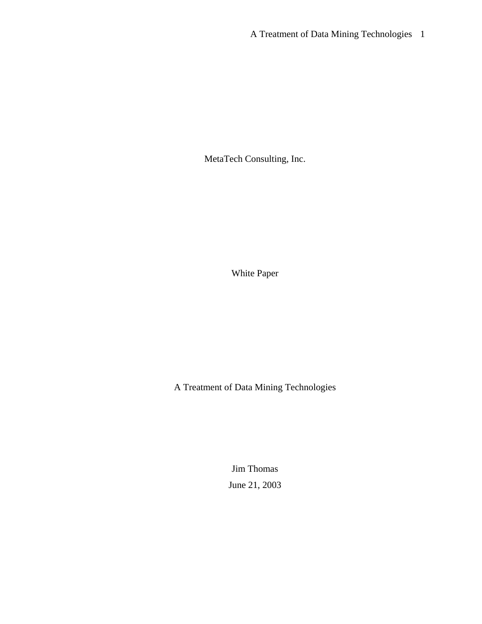MetaTech Consulting, Inc.

White Paper

A Treatment of Data Mining Technologies

Jim Thomas June 21, 2003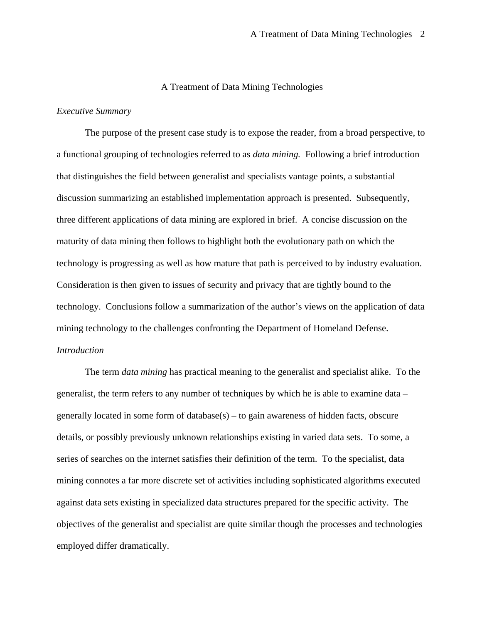## A Treatment of Data Mining Technologies

### *Executive Summary*

The purpose of the present case study is to expose the reader, from a broad perspective, to a functional grouping of technologies referred to as *data mining.* Following a brief introduction that distinguishes the field between generalist and specialists vantage points, a substantial discussion summarizing an established implementation approach is presented. Subsequently, three different applications of data mining are explored in brief. A concise discussion on the maturity of data mining then follows to highlight both the evolutionary path on which the technology is progressing as well as how mature that path is perceived to by industry evaluation. Consideration is then given to issues of security and privacy that are tightly bound to the technology. Conclusions follow a summarization of the author's views on the application of data mining technology to the challenges confronting the Department of Homeland Defense. *Introduction* 

The term *data mining* has practical meaning to the generalist and specialist alike. To the generalist, the term refers to any number of techniques by which he is able to examine data – generally located in some form of database $(s)$  – to gain awareness of hidden facts, obscure details, or possibly previously unknown relationships existing in varied data sets. To some, a series of searches on the internet satisfies their definition of the term. To the specialist, data mining connotes a far more discrete set of activities including sophisticated algorithms executed against data sets existing in specialized data structures prepared for the specific activity. The objectives of the generalist and specialist are quite similar though the processes and technologies employed differ dramatically.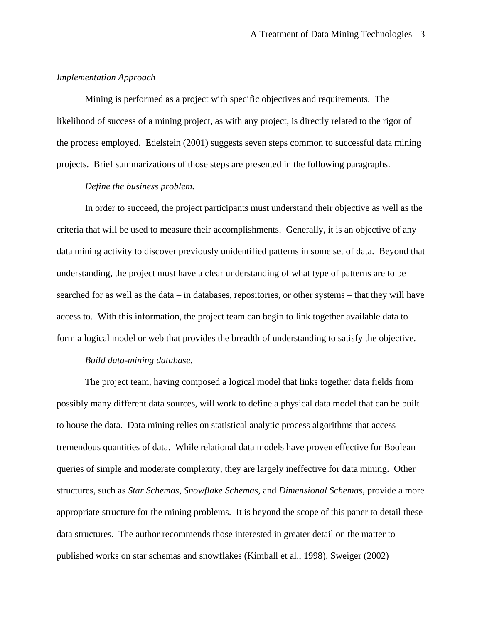## *Implementation Approach*

Mining is performed as a project with specific objectives and requirements. The likelihood of success of a mining project, as with any project, is directly related to the rigor of the process employed. Edelstein (2001) suggests seven steps common to successful data mining projects. Brief summarizations of those steps are presented in the following paragraphs.

## *Define the business problem.*

In order to succeed, the project participants must understand their objective as well as the criteria that will be used to measure their accomplishments. Generally, it is an objective of any data mining activity to discover previously unidentified patterns in some set of data. Beyond that understanding, the project must have a clear understanding of what type of patterns are to be searched for as well as the data – in databases, repositories, or other systems – that they will have access to. With this information, the project team can begin to link together available data to form a logical model or web that provides the breadth of understanding to satisfy the objective.

## *Build data-mining database.*

The project team, having composed a logical model that links together data fields from possibly many different data sources, will work to define a physical data model that can be built to house the data. Data mining relies on statistical analytic process algorithms that access tremendous quantities of data. While relational data models have proven effective for Boolean queries of simple and moderate complexity, they are largely ineffective for data mining. Other structures, such as *Star Schemas*, *Snowflake Schemas*, and *Dimensional Schemas*, provide a more appropriate structure for the mining problems. It is beyond the scope of this paper to detail these data structures. The author recommends those interested in greater detail on the matter to published works on star schemas and snowflakes (Kimball et al., 1998). Sweiger (2002)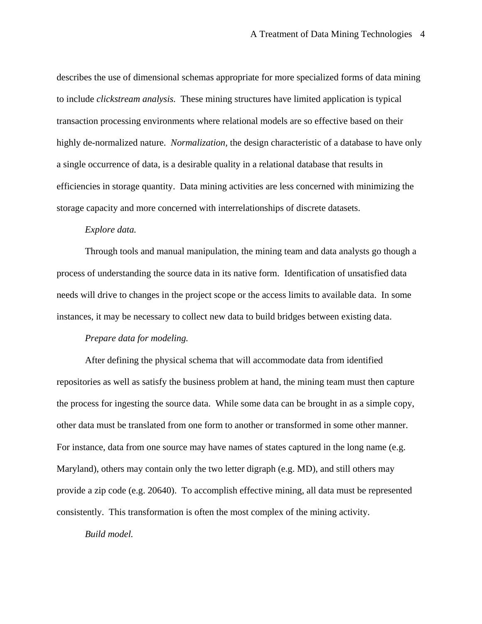describes the use of dimensional schemas appropriate for more specialized forms of data mining to include *clickstream analysis.* These mining structures have limited application is typical transaction processing environments where relational models are so effective based on their highly de-normalized nature. *Normalization,* the design characteristic of a database to have only a single occurrence of data, is a desirable quality in a relational database that results in efficiencies in storage quantity. Data mining activities are less concerned with minimizing the storage capacity and more concerned with interrelationships of discrete datasets.

## *Explore data.*

Through tools and manual manipulation, the mining team and data analysts go though a process of understanding the source data in its native form. Identification of unsatisfied data needs will drive to changes in the project scope or the access limits to available data. In some instances, it may be necessary to collect new data to build bridges between existing data.

# *Prepare data for modeling.*

After defining the physical schema that will accommodate data from identified repositories as well as satisfy the business problem at hand, the mining team must then capture the process for ingesting the source data. While some data can be brought in as a simple copy, other data must be translated from one form to another or transformed in some other manner. For instance, data from one source may have names of states captured in the long name (e.g. Maryland), others may contain only the two letter digraph (e.g. MD), and still others may provide a zip code (e.g. 20640). To accomplish effective mining, all data must be represented consistently. This transformation is often the most complex of the mining activity.

*Build model.*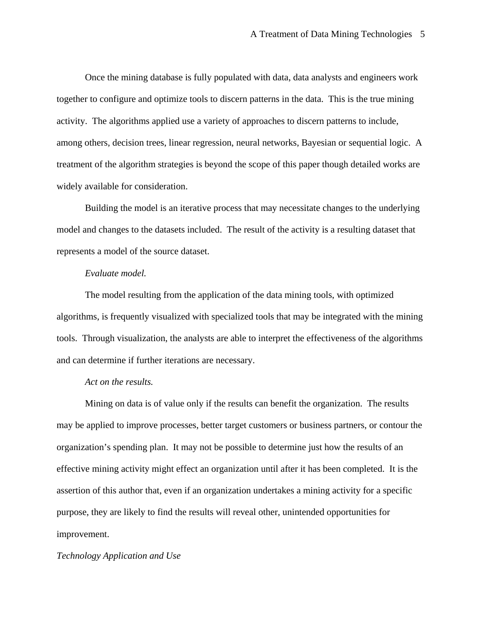Once the mining database is fully populated with data, data analysts and engineers work together to configure and optimize tools to discern patterns in the data. This is the true mining activity. The algorithms applied use a variety of approaches to discern patterns to include, among others, decision trees, linear regression, neural networks, Bayesian or sequential logic. A treatment of the algorithm strategies is beyond the scope of this paper though detailed works are widely available for consideration.

Building the model is an iterative process that may necessitate changes to the underlying model and changes to the datasets included. The result of the activity is a resulting dataset that represents a model of the source dataset.

# *Evaluate model.*

The model resulting from the application of the data mining tools, with optimized algorithms, is frequently visualized with specialized tools that may be integrated with the mining tools. Through visualization, the analysts are able to interpret the effectiveness of the algorithms and can determine if further iterations are necessary.

# *Act on the results.*

Mining on data is of value only if the results can benefit the organization. The results may be applied to improve processes, better target customers or business partners, or contour the organization's spending plan. It may not be possible to determine just how the results of an effective mining activity might effect an organization until after it has been completed. It is the assertion of this author that, even if an organization undertakes a mining activity for a specific purpose, they are likely to find the results will reveal other, unintended opportunities for improvement.

### *Technology Application and Use*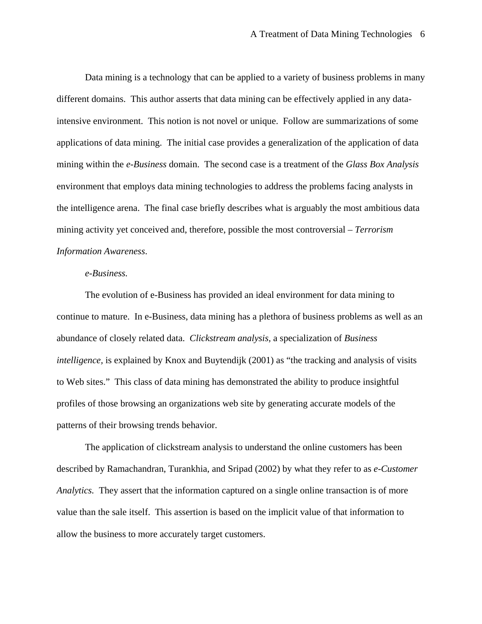Data mining is a technology that can be applied to a variety of business problems in many different domains. This author asserts that data mining can be effectively applied in any dataintensive environment. This notion is not novel or unique. Follow are summarizations of some applications of data mining. The initial case provides a generalization of the application of data mining within the *e-Business* domain. The second case is a treatment of the *Glass Box Analysis*  environment that employs data mining technologies to address the problems facing analysts in the intelligence arena. The final case briefly describes what is arguably the most ambitious data mining activity yet conceived and, therefore, possible the most controversial – *Terrorism Information Awareness*.

# *e-Business.*

The evolution of e-Business has provided an ideal environment for data mining to continue to mature. In e-Business, data mining has a plethora of business problems as well as an abundance of closely related data. *Clickstream analysis,* a specialization of *Business intelligence,* is explained by Knox and Buytendijk (2001) as "the tracking and analysis of visits to Web sites." This class of data mining has demonstrated the ability to produce insightful profiles of those browsing an organizations web site by generating accurate models of the patterns of their browsing trends behavior.

The application of clickstream analysis to understand the online customers has been described by Ramachandran, Turankhia, and Sripad (2002) by what they refer to as *e-Customer Analytics.* They assert that the information captured on a single online transaction is of more value than the sale itself. This assertion is based on the implicit value of that information to allow the business to more accurately target customers.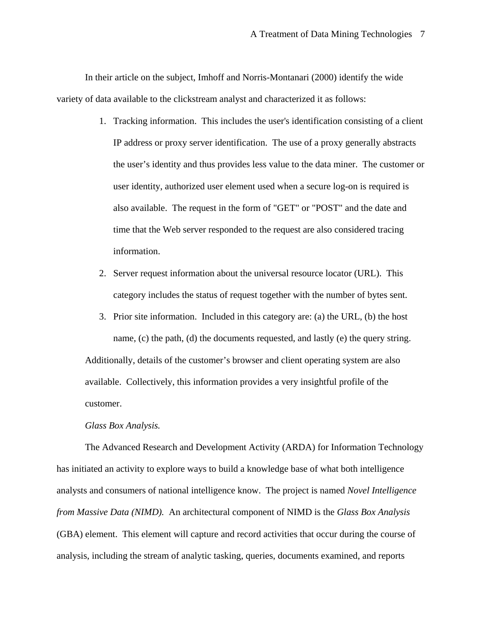In their article on the subject, Imhoff and Norris-Montanari (2000) identify the wide variety of data available to the clickstream analyst and characterized it as follows:

- 1. Tracking information. This includes the user's identification consisting of a client IP address or proxy server identification. The use of a proxy generally abstracts the user's identity and thus provides less value to the data miner. The customer or user identity, authorized user element used when a secure log-on is required is also available. The request in the form of "GET" or "POST" and the date and time that the Web server responded to the request are also considered tracing information.
- 2. Server request information about the universal resource locator (URL). This category includes the status of request together with the number of bytes sent.
- 3. Prior site information. Included in this category are: (a) the URL, (b) the host name, (c) the path, (d) the documents requested, and lastly (e) the query string. Additionally, details of the customer's browser and client operating system are also available. Collectively, this information provides a very insightful profile of the customer.

#### *Glass Box Analysis.*

The Advanced Research and Development Activity (ARDA) for Information Technology has initiated an activity to explore ways to build a knowledge base of what both intelligence analysts and consumers of national intelligence know. The project is named *Novel Intelligence from Massive Data (NIMD).* An architectural component of NIMD is the *Glass Box Analysis* (GBA) element. This element will capture and record activities that occur during the course of analysis, including the stream of analytic tasking, queries, documents examined, and reports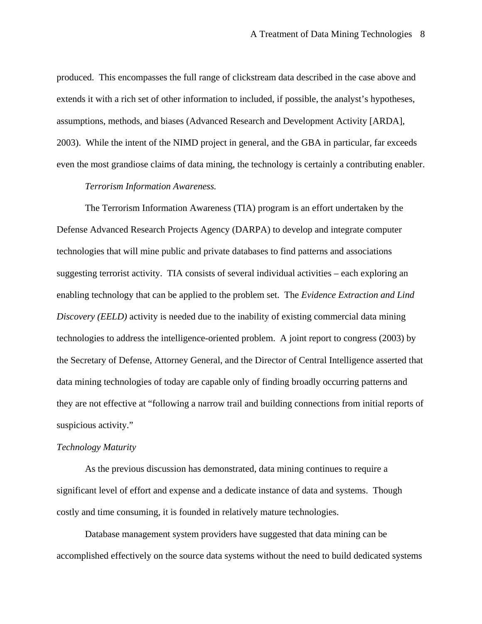produced. This encompasses the full range of clickstream data described in the case above and extends it with a rich set of other information to included, if possible, the analyst's hypotheses, assumptions, methods, and biases (Advanced Research and Development Activity [ARDA], 2003). While the intent of the NIMD project in general, and the GBA in particular, far exceeds even the most grandiose claims of data mining, the technology is certainly a contributing enabler.

### *Terrorism Information Awareness.*

The Terrorism Information Awareness (TIA) program is an effort undertaken by the Defense Advanced Research Projects Agency (DARPA) to develop and integrate computer technologies that will mine public and private databases to find patterns and associations suggesting terrorist activity. TIA consists of several individual activities – each exploring an enabling technology that can be applied to the problem set. The *Evidence Extraction and Lind Discovery (EELD)* activity is needed due to the inability of existing commercial data mining technologies to address the intelligence-oriented problem. A joint report to congress (2003) by the Secretary of Defense, Attorney General, and the Director of Central Intelligence asserted that data mining technologies of today are capable only of finding broadly occurring patterns and they are not effective at "following a narrow trail and building connections from initial reports of suspicious activity."

## *Technology Maturity*

As the previous discussion has demonstrated, data mining continues to require a significant level of effort and expense and a dedicate instance of data and systems. Though costly and time consuming, it is founded in relatively mature technologies.

Database management system providers have suggested that data mining can be accomplished effectively on the source data systems without the need to build dedicated systems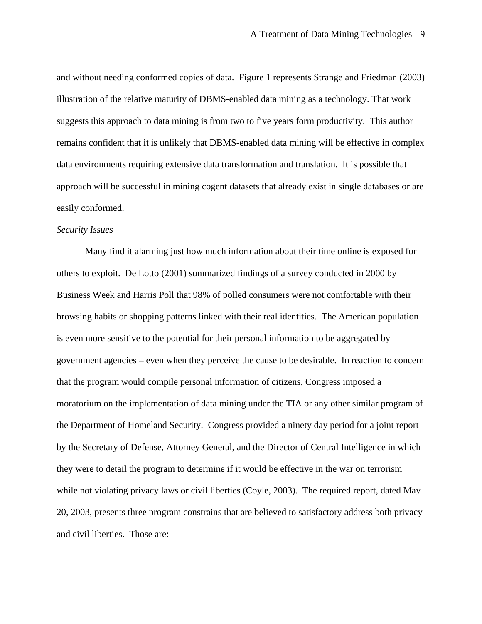and without needing conformed copies of data. Figure 1 represents Strange and Friedman (2003) illustration of the relative maturity of DBMS-enabled data mining as a technology. That work suggests this approach to data mining is from two to five years form productivity. This author remains confident that it is unlikely that DBMS-enabled data mining will be effective in complex data environments requiring extensive data transformation and translation. It is possible that approach will be successful in mining cogent datasets that already exist in single databases or are easily conformed.

# *Security Issues*

Many find it alarming just how much information about their time online is exposed for others to exploit. De Lotto (2001) summarized findings of a survey conducted in 2000 by Business Week and Harris Poll that 98% of polled consumers were not comfortable with their browsing habits or shopping patterns linked with their real identities. The American population is even more sensitive to the potential for their personal information to be aggregated by government agencies – even when they perceive the cause to be desirable. In reaction to concern that the program would compile personal information of citizens, Congress imposed a moratorium on the implementation of data mining under the TIA or any other similar program of the Department of Homeland Security. Congress provided a ninety day period for a joint report by the Secretary of Defense, Attorney General, and the Director of Central Intelligence in which they were to detail the program to determine if it would be effective in the war on terrorism while not violating privacy laws or civil liberties (Coyle, 2003). The required report, dated May 20, 2003, presents three program constrains that are believed to satisfactory address both privacy and civil liberties. Those are: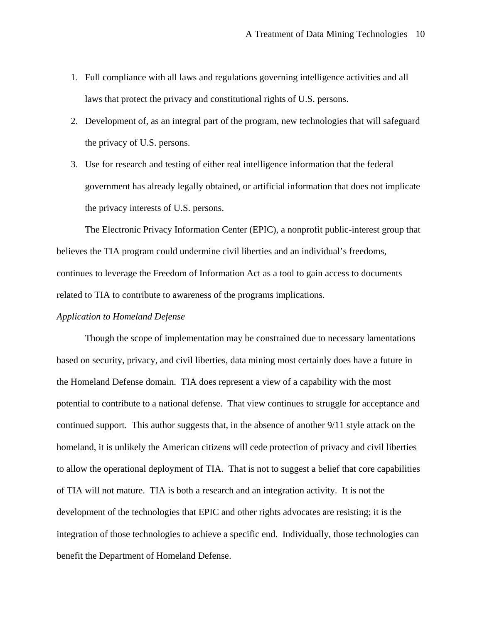- 1. Full compliance with all laws and regulations governing intelligence activities and all laws that protect the privacy and constitutional rights of U.S. persons.
- 2. Development of, as an integral part of the program, new technologies that will safeguard the privacy of U.S. persons.
- 3. Use for research and testing of either real intelligence information that the federal government has already legally obtained, or artificial information that does not implicate the privacy interests of U.S. persons.

The Electronic Privacy Information Center (EPIC), a nonprofit public-interest group that believes the TIA program could undermine civil liberties and an individual's freedoms, continues to leverage the Freedom of Information Act as a tool to gain access to documents related to TIA to contribute to awareness of the programs implications.

### *Application to Homeland Defense*

Though the scope of implementation may be constrained due to necessary lamentations based on security, privacy, and civil liberties, data mining most certainly does have a future in the Homeland Defense domain. TIA does represent a view of a capability with the most potential to contribute to a national defense. That view continues to struggle for acceptance and continued support. This author suggests that, in the absence of another 9/11 style attack on the homeland, it is unlikely the American citizens will cede protection of privacy and civil liberties to allow the operational deployment of TIA. That is not to suggest a belief that core capabilities of TIA will not mature. TIA is both a research and an integration activity. It is not the development of the technologies that EPIC and other rights advocates are resisting; it is the integration of those technologies to achieve a specific end. Individually, those technologies can benefit the Department of Homeland Defense.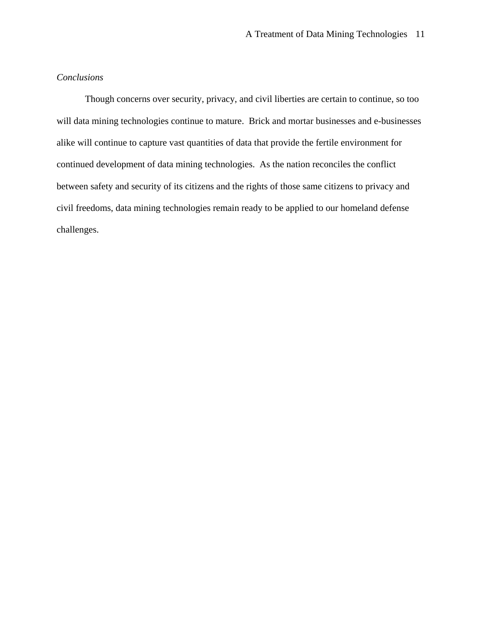### *Conclusions*

Though concerns over security, privacy, and civil liberties are certain to continue, so too will data mining technologies continue to mature. Brick and mortar businesses and e-businesses alike will continue to capture vast quantities of data that provide the fertile environment for continued development of data mining technologies. As the nation reconciles the conflict between safety and security of its citizens and the rights of those same citizens to privacy and civil freedoms, data mining technologies remain ready to be applied to our homeland defense challenges.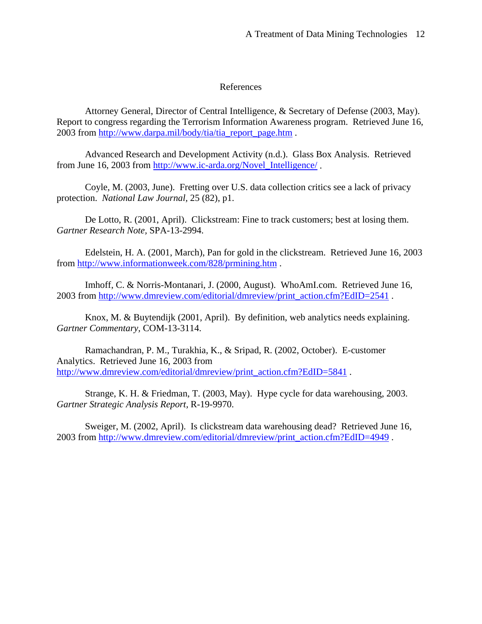## References

Attorney General, Director of Central Intelligence, & Secretary of Defense (2003, May). Report to congress regarding the Terrorism Information Awareness program. Retrieved June 16, 2003 from http://www.darpa.mil/body/tia/tia\_report\_page.htm .

Advanced Research and Development Activity (n.d.). Glass Box Analysis. Retrieved from June 16, 2003 from http://www.ic-arda.org/Novel\_Intelligence/ .

Coyle, M. (2003, June). Fretting over U.S. data collection critics see a lack of privacy protection. *National Law Journal,* 25 (82), p1.

De Lotto, R. (2001, April). Clickstream: Fine to track customers; best at losing them. *Gartner Research Note,* SPA-13-2994.

Edelstein, H. A. (2001, March), Pan for gold in the clickstream. Retrieved June 16, 2003 from http://www.informationweek.com/828/prmining.htm .

Imhoff, C. & Norris-Montanari, J. (2000, August). WhoAmI.com. Retrieved June 16, 2003 from http://www.dmreview.com/editorial/dmreview/print\_action.cfm?EdID=2541 .

Knox, M. & Buytendijk (2001, April). By definition, web analytics needs explaining. *Gartner Commentary,* COM-13-3114.

Ramachandran, P. M., Turakhia, K., & Sripad, R. (2002, October). E-customer Analytics. Retrieved June 16, 2003 from http://www.dmreview.com/editorial/dmreview/print\_action.cfm?EdID=5841 .

Strange, K. H. & Friedman, T. (2003, May). Hype cycle for data warehousing, 2003. *Gartner Strategic Analysis Report,* R-19-9970.

Sweiger, M. (2002, April). Is clickstream data warehousing dead? Retrieved June 16, 2003 from http://www.dmreview.com/editorial/dmreview/print\_action.cfm?EdID=4949 .